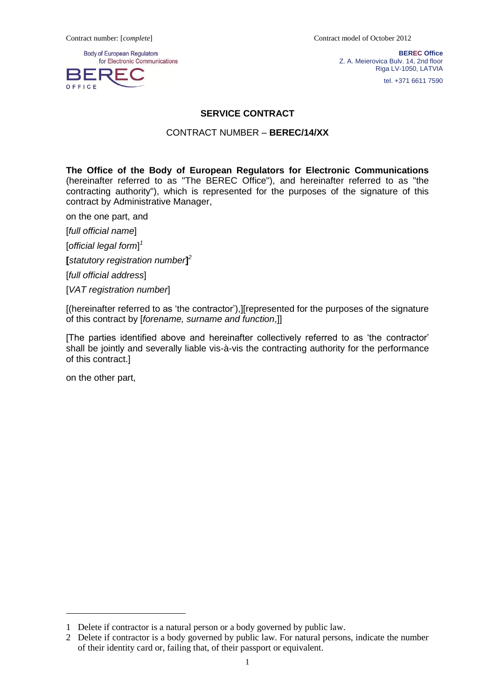Contract number: [*complete*] Contract model of October 2012

**BEREC Office** Z. A. Meierovica Bulv. 14, 2nd floor Riga LV-1050, LATVIA

tel. +371 6611 7590

# **SERVICE CONTRACT**

# CONTRACT NUMBER – **BEREC/14/XX**

**The Office of the Body of European Regulators for Electronic Communications** (hereinafter referred to as "The BEREC Office"), and hereinafter referred to as "the contracting authority"), which is represented for the purposes of the signature of this contract by Administrative Manager,

on the one part, and

[*full official name*]

[*official legal form*] *1*

**[***statutory registration number***]** *2*

[*full official address*]

[*VAT registration number*]

[(hereinafter referred to as 'the contractor'),][represented for the purposes of the signature of this contract by [*forename, surname and function*,]]

[The parties identified above and hereinafter collectively referred to as 'the contractor' shall be jointly and severally liable vis-à-vis the contracting authority for the performance of this contract.]

on the other part,

 $\overline{a}$ 



<sup>1</sup> Delete if contractor is a natural person or a body governed by public law.

<sup>2</sup> Delete if contractor is a body governed by public law. For natural persons, indicate the number of their identity card or, failing that, of their passport or equivalent.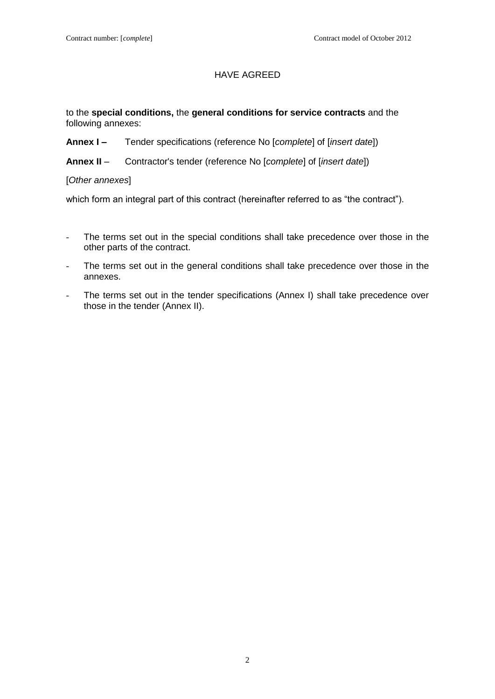## HAVE AGREED

to the **special conditions,** the **general conditions for service contracts** and the following annexes:

- **Annex I –** Tender specifications (reference No [*complete*] of [*insert date*])
- **Annex II** Contractor's tender (reference No [*complete*] of [*insert date*])

[*Other annexes*]

which form an integral part of this contract (hereinafter referred to as "the contract").

- The terms set out in the special conditions shall take precedence over those in the other parts of the contract.
- The terms set out in the general conditions shall take precedence over those in the annexes.
- The terms set out in the tender specifications (Annex I) shall take precedence over those in the tender (Annex II).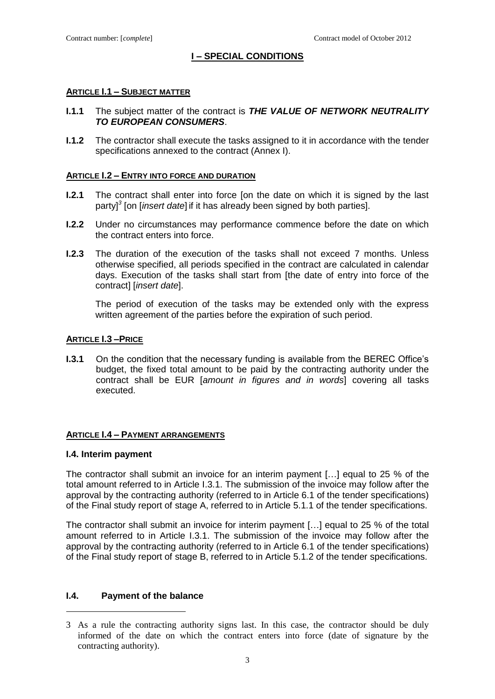## **I – SPECIAL CONDITIONS**

## **ARTICLE I.1 – SUBJECT MATTER**

## **I.1.1** The subject matter of the contract is *THE VALUE OF NETWORK NEUTRALITY TO EUROPEAN CONSUMERS*.

**I.1.2** The contractor shall execute the tasks assigned to it in accordance with the tender specifications annexed to the contract (Annex I).

## **ARTICLE I.2 – ENTRY INTO FORCE AND DURATION**

- **I.2.1** The contract shall enter into force [on the date on which it is signed by the last party]*<sup>3</sup>* [on [*insert date*] if it has already been signed by both parties].
- **I.2.2** Under no circumstances may performance commence before the date on which the contract enters into force.
- **I.2.3** The duration of the execution of the tasks shall not exceed 7 months. Unless otherwise specified, all periods specified in the contract are calculated in calendar days. Execution of the tasks shall start from [the date of entry into force of the contract] [*insert date*].

The period of execution of the tasks may be extended only with the express written agreement of the parties before the expiration of such period.

## **ARTICLE I.3 –PRICE**

**I.3.1** On the condition that the necessary funding is available from the BEREC Office's budget, the fixed total amount to be paid by the contracting authority under the contract shall be EUR [*amount in figures and in words*] covering all tasks executed.

### **ARTICLE I.4 – PAYMENT ARRANGEMENTS**

### **I.4. Interim payment**

The contractor shall submit an invoice for an interim payment […] equal to 25 % of the total amount referred to in Article I.3.1. The submission of the invoice may follow after the approval by the contracting authority (referred to in Article 6.1 of the tender specifications) of the Final study report of stage A, referred to in Article 5.1.1 of the tender specifications.

The contractor shall submit an invoice for interim payment […] equal to 25 % of the total amount referred to in Article I.3.1. The submission of the invoice may follow after the approval by the contracting authority (referred to in Article 6.1 of the tender specifications) of the Final study report of stage B, referred to in Article 5.1.2 of the tender specifications.

## **I.4. Payment of the balance**

 $\overline{a}$ 

<sup>3</sup> As a rule the contracting authority signs last. In this case, the contractor should be duly informed of the date on which the contract enters into force (date of signature by the contracting authority).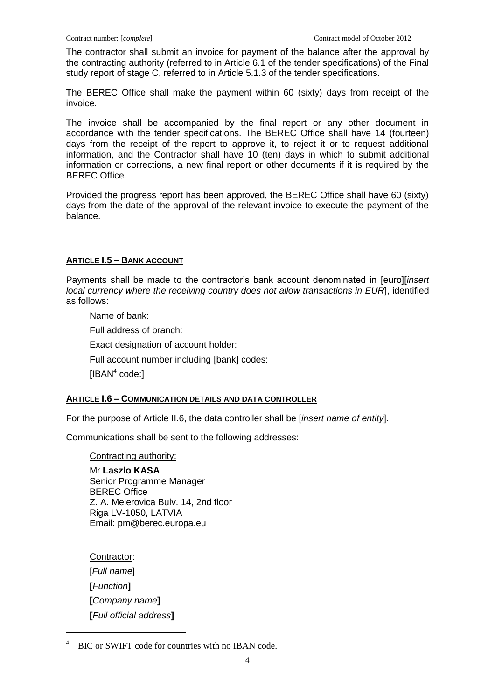The contractor shall submit an invoice for payment of the balance after the approval by the contracting authority (referred to in Article 6.1 of the tender specifications) of the Final study report of stage C, referred to in Article 5.1.3 of the tender specifications.

The BEREC Office shall make the payment within 60 (sixty) days from receipt of the invoice.

The invoice shall be accompanied by the final report or any other document in accordance with the tender specifications. The BEREC Office shall have 14 (fourteen) days from the receipt of the report to approve it, to reject it or to request additional information, and the Contractor shall have 10 (ten) days in which to submit additional information or corrections, a new final report or other documents if it is required by the BEREC Office.

Provided the progress report has been approved, the BEREC Office shall have 60 (sixty) days from the date of the approval of the relevant invoice to execute the payment of the balance.

## **ARTICLE I.5 – BANK ACCOUNT**

Payments shall be made to the contractor's bank account denominated in [euro][*insert local currency where the receiving country does not allow transactions in EUR*], identified as follows:

Name of bank:

Full address of branch:

Exact designation of account holder:

Full account number including [bank] codes:

 $[IBAN<sup>4</sup> code.]$ 

### **ARTICLE I.6 – COMMUNICATION DETAILS AND DATA CONTROLLER**

For the purpose of Article II.6, the data controller shall be [*insert name of entity*].

Communications shall be sent to the following addresses:

### Contracting authority:

Mr **Laszlo KASA** Senior Programme Manager BEREC Office Z. A. Meierovica Bulv. 14, 2nd floor Riga LV-1050, LATVIA Email: pm@berec.europa.eu

Contractor: [*Full name*] **[***Function***] [***Company name***] [***Full official address***]**

-

BIC or SWIFT code for countries with no IBAN code.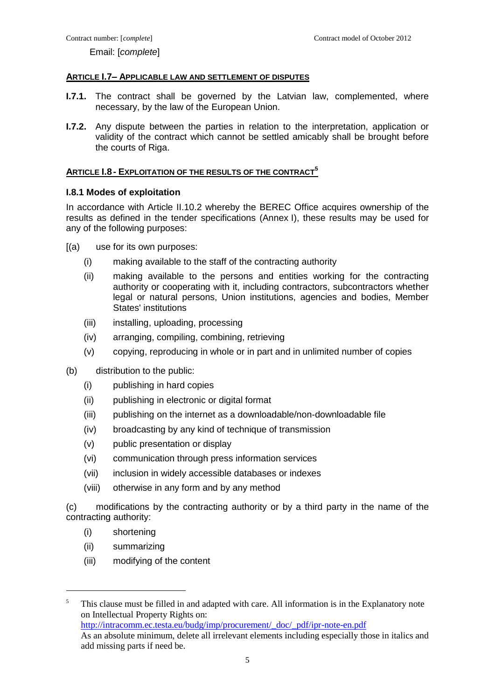Email: [*complete*]

### **ARTICLE I.7– APPLICABLE LAW AND SETTLEMENT OF DISPUTES**

- **I.7.1.** The contract shall be governed by the Latvian law, complemented, where necessary, by the law of the European Union.
- **I.7.2.** Any dispute between the parties in relation to the interpretation, application or validity of the contract which cannot be settled amicably shall be brought before the courts of Riga.

### **ARTICLE I.8 - EXPLOITATION OF THE RESULTS OF THE CONTRACT<sup>5</sup>**

## **I.8.1 Modes of exploitation**

In accordance with Article II.10.2 whereby the BEREC Office acquires ownership of the results as defined in the tender specifications (Annex I), these results may be used for any of the following purposes:

- [(a) use for its own purposes:
	- (i) making available to the staff of the contracting authority
	- (ii) making available to the persons and entities working for the contracting authority or cooperating with it, including contractors, subcontractors whether legal or natural persons, Union institutions, agencies and bodies, Member States' institutions
	- (iii) installing, uploading, processing
	- (iv) arranging, compiling, combining, retrieving
	- (v) copying, reproducing in whole or in part and in unlimited number of copies
- (b) distribution to the public:
	- (i) publishing in hard copies
	- (ii) publishing in electronic or digital format
	- (iii) publishing on the internet as a downloadable/non-downloadable file
	- (iv) broadcasting by any kind of technique of transmission
	- (v) public presentation or display
	- (vi) communication through press information services
	- (vii) inclusion in widely accessible databases or indexes
	- (viii) otherwise in any form and by any method

(c) modifications by the contracting authority or by a third party in the name of the contracting authority:

(i) shortening

-

- (ii) summarizing
- (iii) modifying of the content

<sup>&</sup>lt;sup>5</sup> This clause must be filled in and adapted with care. All information is in the Explanatory note on Intellectual Property Rights on: [http://intracomm.ec.testa.eu/budg/imp/procurement/\\_doc/\\_pdf/ipr-note-en.pdf](http://intracomm.ec.testa.eu/budg/imp/procurement/_doc/_pdf/ipr-note-en.pdf) As an absolute minimum, delete all irrelevant elements including especially those in italics and add missing parts if need be.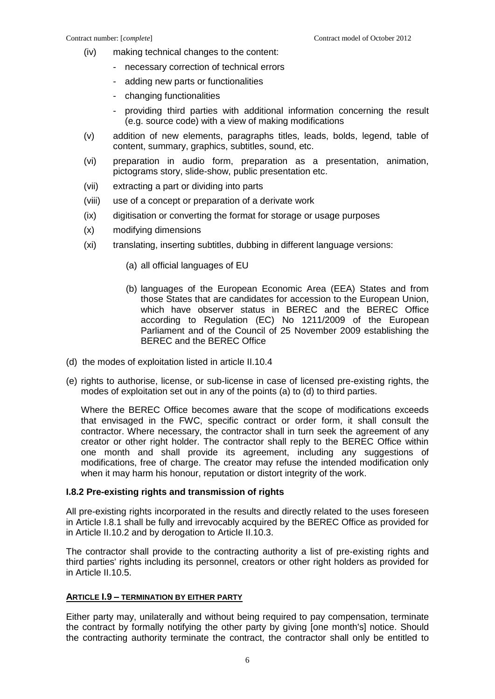- (iv) making technical changes to the content:
	- necessary correction of technical errors
	- adding new parts or functionalities
	- changing functionalities
	- providing third parties with additional information concerning the result (e.g. source code) with a view of making modifications
- (v) addition of new elements, paragraphs titles, leads, bolds, legend, table of content, summary, graphics, subtitles, sound, etc.
- (vi) preparation in audio form, preparation as a presentation, animation, pictograms story, slide-show, public presentation etc.
- (vii) extracting a part or dividing into parts
- (viii) use of a concept or preparation of a derivate work
- (ix) digitisation or converting the format for storage or usage purposes
- (x) modifying dimensions
- (xi) translating, inserting subtitles, dubbing in different language versions:
	- (a) all official languages of EU
	- (b) languages of the European Economic Area (EEA) States and from those States that are candidates for accession to the European Union, which have observer status in BEREC and the BEREC Office according to Regulation (EC) No 1211/2009 of the European Parliament and of the Council of 25 November 2009 establishing the BEREC and the BEREC Office
- (d) the modes of exploitation listed in article II.10.4
- (e) rights to authorise, license, or sub-license in case of licensed pre-existing rights, the modes of exploitation set out in any of the points (a) to (d) to third parties.

Where the BEREC Office becomes aware that the scope of modifications exceeds that envisaged in the FWC, specific contract or order form, it shall consult the contractor. Where necessary, the contractor shall in turn seek the agreement of any creator or other right holder. The contractor shall reply to the BEREC Office within one month and shall provide its agreement, including any suggestions of modifications, free of charge. The creator may refuse the intended modification only when it may harm his honour, reputation or distort integrity of the work.

## **I.8.2 Pre-existing rights and transmission of rights**

All pre-existing rights incorporated in the results and directly related to the uses foreseen in Article I.8.1 shall be fully and irrevocably acquired by the BEREC Office as provided for in Article II.10.2 and by derogation to Article II.10.3.

The contractor shall provide to the contracting authority a list of pre-existing rights and third parties' rights including its personnel, creators or other right holders as provided for in Article II.10.5.

### **ARTICLE I.9 – TERMINATION BY EITHER PARTY**

Either party may, unilaterally and without being required to pay compensation, terminate the contract by formally notifying the other party by giving [one month's] notice. Should the contracting authority terminate the contract, the contractor shall only be entitled to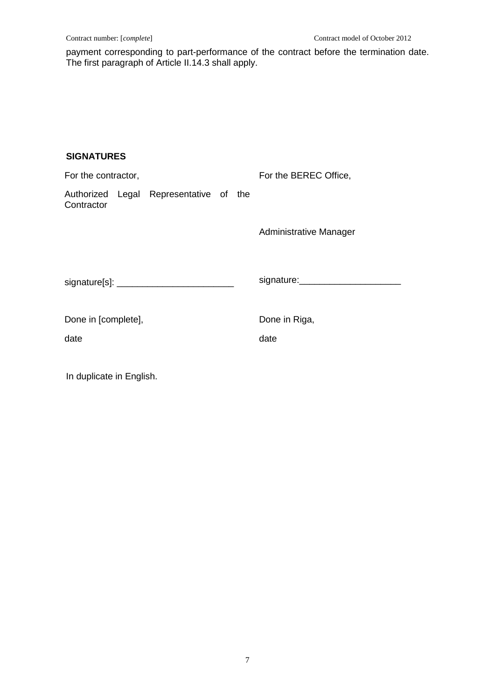payment corresponding to part-performance of the contract before the termination date. The first paragraph of Article II.14.3 shall apply.

# **SIGNATURES**

| For the contractor,      |  |                                        |  | For the BEREC Office, |                             |
|--------------------------|--|----------------------------------------|--|-----------------------|-----------------------------|
| Contractor               |  | Authorized Legal Representative of the |  |                       |                             |
|                          |  |                                        |  |                       | Administrative Manager      |
|                          |  |                                        |  |                       | signature: ________________ |
| Done in [complete],      |  |                                        |  | Done in Riga,         |                             |
| date                     |  |                                        |  |                       | date                        |
| In duplicate in English. |  |                                        |  |                       |                             |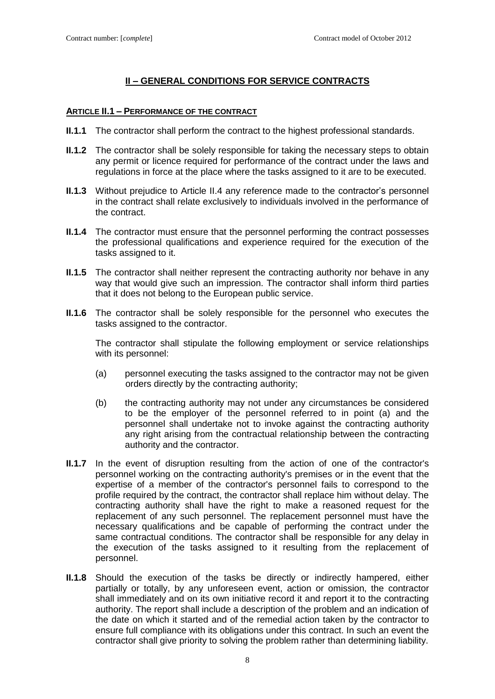# **II – GENERAL CONDITIONS FOR SERVICE CONTRACTS**

### **ARTICLE II.1 – PERFORMANCE OF THE CONTRACT**

- **II.1.1** The contractor shall perform the contract to the highest professional standards.
- **II.1.2** The contractor shall be solely responsible for taking the necessary steps to obtain any permit or licence required for performance of the contract under the laws and regulations in force at the place where the tasks assigned to it are to be executed.
- **II.1.3** Without prejudice to Article II.4 any reference made to the contractor's personnel in the contract shall relate exclusively to individuals involved in the performance of the contract.
- **II.1.4** The contractor must ensure that the personnel performing the contract possesses the professional qualifications and experience required for the execution of the tasks assigned to it.
- **II.1.5** The contractor shall neither represent the contracting authority nor behave in any way that would give such an impression. The contractor shall inform third parties that it does not belong to the European public service.
- **II.1.6** The contractor shall be solely responsible for the personnel who executes the tasks assigned to the contractor.

The contractor shall stipulate the following employment or service relationships with its personnel:

- (a) personnel executing the tasks assigned to the contractor may not be given orders directly by the contracting authority;
- (b) the contracting authority may not under any circumstances be considered to be the employer of the personnel referred to in point (a) and the personnel shall undertake not to invoke against the contracting authority any right arising from the contractual relationship between the contracting authority and the contractor.
- **II.1.7** In the event of disruption resulting from the action of one of the contractor's personnel working on the contracting authority's premises or in the event that the expertise of a member of the contractor's personnel fails to correspond to the profile required by the contract, the contractor shall replace him without delay. The contracting authority shall have the right to make a reasoned request for the replacement of any such personnel. The replacement personnel must have the necessary qualifications and be capable of performing the contract under the same contractual conditions. The contractor shall be responsible for any delay in the execution of the tasks assigned to it resulting from the replacement of personnel.
- **II.1.8** Should the execution of the tasks be directly or indirectly hampered, either partially or totally, by any unforeseen event, action or omission, the contractor shall immediately and on its own initiative record it and report it to the contracting authority. The report shall include a description of the problem and an indication of the date on which it started and of the remedial action taken by the contractor to ensure full compliance with its obligations under this contract. In such an event the contractor shall give priority to solving the problem rather than determining liability.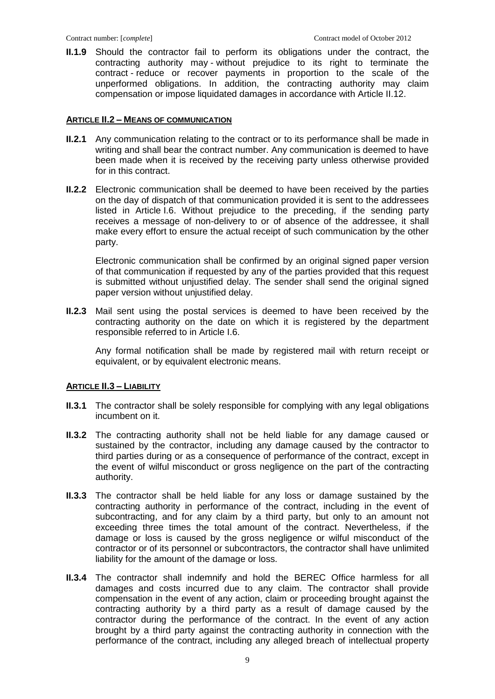**II.1.9** Should the contractor fail to perform its obligations under the contract, the contracting authority may - without prejudice to its right to terminate the contract - reduce or recover payments in proportion to the scale of the unperformed obligations. In addition, the contracting authority may claim compensation or impose liquidated damages in accordance with Article II.12.

### **ARTICLE II.2 – MEANS OF COMMUNICATION**

- **II.2.1** Any communication relating to the contract or to its performance shall be made in writing and shall bear the contract number. Any communication is deemed to have been made when it is received by the receiving party unless otherwise provided for in this contract.
- **II.2.2** Electronic communication shall be deemed to have been received by the parties on the day of dispatch of that communication provided it is sent to the addressees listed in Article I.6. Without prejudice to the preceding, if the sending party receives a message of non-delivery to or of absence of the addressee, it shall make every effort to ensure the actual receipt of such communication by the other party.

Electronic communication shall be confirmed by an original signed paper version of that communication if requested by any of the parties provided that this request is submitted without unjustified delay. The sender shall send the original signed paper version without unjustified delay.

**II.2.3** Mail sent using the postal services is deemed to have been received by the contracting authority on the date on which it is registered by the department responsible referred to in Article I.6.

Any formal notification shall be made by registered mail with return receipt or equivalent, or by equivalent electronic means.

### **ARTICLE II.3 – LIABILITY**

- **II.3.1** The contractor shall be solely responsible for complying with any legal obligations incumbent on it.
- **II.3.2** The contracting authority shall not be held liable for any damage caused or sustained by the contractor, including any damage caused by the contractor to third parties during or as a consequence of performance of the contract, except in the event of wilful misconduct or gross negligence on the part of the contracting authority.
- **II.3.3** The contractor shall be held liable for any loss or damage sustained by the contracting authority in performance of the contract, including in the event of subcontracting, and for any claim by a third party, but only to an amount not exceeding three times the total amount of the contract. Nevertheless, if the damage or loss is caused by the gross negligence or wilful misconduct of the contractor or of its personnel or subcontractors, the contractor shall have unlimited liability for the amount of the damage or loss.
- **II.3.4** The contractor shall indemnify and hold the BEREC Office harmless for all damages and costs incurred due to any claim. The contractor shall provide compensation in the event of any action, claim or proceeding brought against the contracting authority by a third party as a result of damage caused by the contractor during the performance of the contract. In the event of any action brought by a third party against the contracting authority in connection with the performance of the contract, including any alleged breach of intellectual property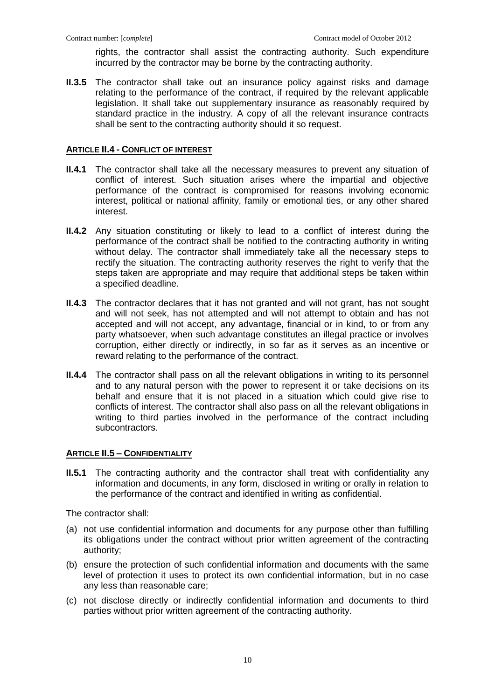rights, the contractor shall assist the contracting authority. Such expenditure incurred by the contractor may be borne by the contracting authority.

**II.3.5** The contractor shall take out an insurance policy against risks and damage relating to the performance of the contract, if required by the relevant applicable legislation. It shall take out supplementary insurance as reasonably required by standard practice in the industry. A copy of all the relevant insurance contracts shall be sent to the contracting authority should it so request.

## **ARTICLE II.4 - CONFLICT OF INTEREST**

- **II.4.1** The contractor shall take all the necessary measures to prevent any situation of conflict of interest. Such situation arises where the impartial and objective performance of the contract is compromised for reasons involving economic interest, political or national affinity, family or emotional ties, or any other shared interest.
- **II.4.2** Any situation constituting or likely to lead to a conflict of interest during the performance of the contract shall be notified to the contracting authority in writing without delay. The contractor shall immediately take all the necessary steps to rectify the situation. The contracting authority reserves the right to verify that the steps taken are appropriate and may require that additional steps be taken within a specified deadline.
- **II.4.3** The contractor declares that it has not granted and will not grant, has not sought and will not seek, has not attempted and will not attempt to obtain and has not accepted and will not accept, any advantage, financial or in kind, to or from any party whatsoever, when such advantage constitutes an illegal practice or involves corruption, either directly or indirectly, in so far as it serves as an incentive or reward relating to the performance of the contract.
- **II.4.4** The contractor shall pass on all the relevant obligations in writing to its personnel and to any natural person with the power to represent it or take decisions on its behalf and ensure that it is not placed in a situation which could give rise to conflicts of interest. The contractor shall also pass on all the relevant obligations in writing to third parties involved in the performance of the contract including subcontractors.

## **ARTICLE II.5 – CONFIDENTIALITY**

**II.5.1** The contracting authority and the contractor shall treat with confidentiality any information and documents, in any form, disclosed in writing or orally in relation to the performance of the contract and identified in writing as confidential.

The contractor shall:

- (a) not use confidential information and documents for any purpose other than fulfilling its obligations under the contract without prior written agreement of the contracting authority;
- (b) ensure the protection of such confidential information and documents with the same level of protection it uses to protect its own confidential information, but in no case any less than reasonable care;
- (c) not disclose directly or indirectly confidential information and documents to third parties without prior written agreement of the contracting authority.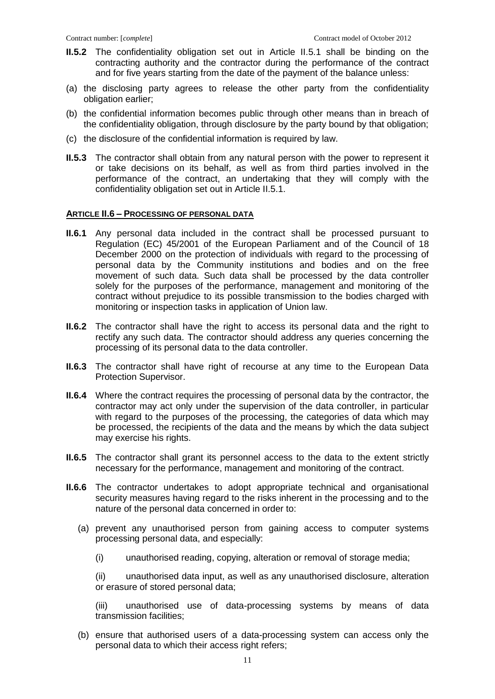- **II.5.2** The confidentiality obligation set out in Article II.5.1 shall be binding on the contracting authority and the contractor during the performance of the contract and for five years starting from the date of the payment of the balance unless:
- (a) the disclosing party agrees to release the other party from the confidentiality obligation earlier;
- (b) the confidential information becomes public through other means than in breach of the confidentiality obligation, through disclosure by the party bound by that obligation;
- (c) the disclosure of the confidential information is required by law.
- **II.5.3** The contractor shall obtain from any natural person with the power to represent it or take decisions on its behalf, as well as from third parties involved in the performance of the contract, an undertaking that they will comply with the confidentiality obligation set out in Article II.5.1.

## **ARTICLE II.6 – PROCESSING OF PERSONAL DATA**

- **II.6.1** Any personal data included in the contract shall be processed pursuant to Regulation (EC) 45/2001 of the European Parliament and of the Council of 18 December 2000 on the protection of individuals with regard to the processing of personal data by the Community institutions and bodies and on the free movement of such data. Such data shall be processed by the data controller solely for the purposes of the performance, management and monitoring of the contract without prejudice to its possible transmission to the bodies charged with monitoring or inspection tasks in application of Union law.
- **II.6.2** The contractor shall have the right to access its personal data and the right to rectify any such data. The contractor should address any queries concerning the processing of its personal data to the data controller.
- **II.6.3** The contractor shall have right of recourse at any time to the European Data Protection Supervisor.
- **II.6.4** Where the contract requires the processing of personal data by the contractor, the contractor may act only under the supervision of the data controller, in particular with regard to the purposes of the processing, the categories of data which may be processed, the recipients of the data and the means by which the data subject may exercise his rights.
- **II.6.5** The contractor shall grant its personnel access to the data to the extent strictly necessary for the performance, management and monitoring of the contract.
- **II.6.6** The contractor undertakes to adopt appropriate technical and organisational security measures having regard to the risks inherent in the processing and to the nature of the personal data concerned in order to:
	- (a) prevent any unauthorised person from gaining access to computer systems processing personal data, and especially:
		- (i) unauthorised reading, copying, alteration or removal of storage media;

(ii) unauthorised data input, as well as any unauthorised disclosure, alteration or erasure of stored personal data;

(iii) unauthorised use of data-processing systems by means of data transmission facilities;

(b) ensure that authorised users of a data-processing system can access only the personal data to which their access right refers;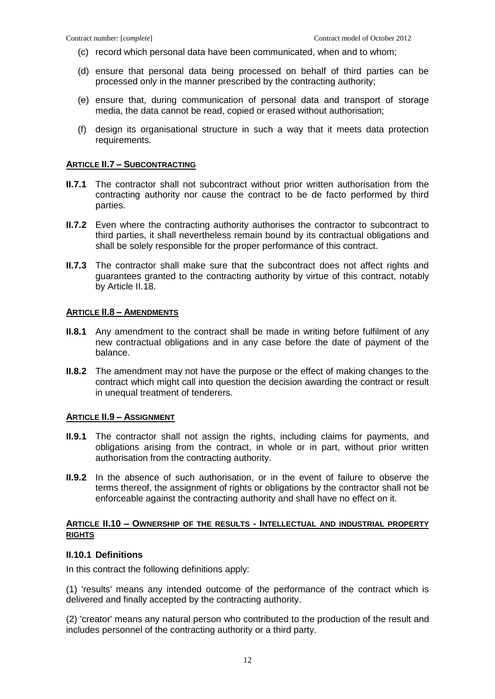- (c) record which personal data have been communicated, when and to whom;
- (d) ensure that personal data being processed on behalf of third parties can be processed only in the manner prescribed by the contracting authority;
- (e) ensure that, during communication of personal data and transport of storage media, the data cannot be read, copied or erased without authorisation;
- (f) design its organisational structure in such a way that it meets data protection requirements.

#### **ARTICLE II.7 – SUBCONTRACTING**

- **II.7.1** The contractor shall not subcontract without prior written authorisation from the contracting authority nor cause the contract to be de facto performed by third parties.
- **II.7.2** Even where the contracting authority authorises the contractor to subcontract to third parties, it shall nevertheless remain bound by its contractual obligations and shall be solely responsible for the proper performance of this contract.
- **II.7.3** The contractor shall make sure that the subcontract does not affect rights and guarantees granted to the contracting authority by virtue of this contract, notably by Article II.18.

#### **ARTICLE II.8 – AMENDMENTS**

- **II.8.1** Any amendment to the contract shall be made in writing before fulfilment of any new contractual obligations and in any case before the date of payment of the balance.
- **II.8.2** The amendment may not have the purpose or the effect of making changes to the contract which might call into question the decision awarding the contract or result in unequal treatment of tenderers.

#### **ARTICLE II.9 – ASSIGNMENT**

- **II.9.1** The contractor shall not assign the rights, including claims for payments, and obligations arising from the contract, in whole or in part, without prior written authorisation from the contracting authority.
- **II.9.2** In the absence of such authorisation, or in the event of failure to observe the terms thereof, the assignment of rights or obligations by the contractor shall not be enforceable against the contracting authority and shall have no effect on it.

### **ARTICLE II.10 – OWNERSHIP OF THE RESULTS - INTELLECTUAL AND INDUSTRIAL PROPERTY RIGHTS**

### **II.10.1 Definitions**

In this contract the following definitions apply:

(1) 'results' means any intended outcome of the performance of the contract which is delivered and finally accepted by the contracting authority.

(2) 'creator' means any natural person who contributed to the production of the result and includes personnel of the contracting authority or a third party.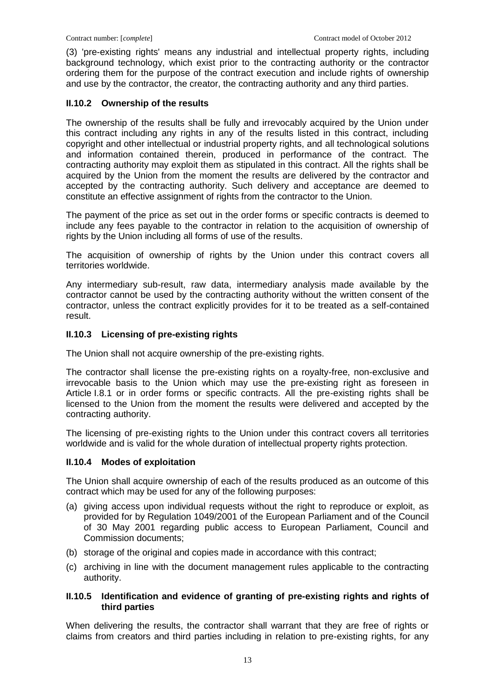(3) 'pre-existing rights' means any industrial and intellectual property rights, including background technology, which exist prior to the contracting authority or the contractor ordering them for the purpose of the contract execution and include rights of ownership and use by the contractor, the creator, the contracting authority and any third parties.

# **II.10.2 Ownership of the results**

The ownership of the results shall be fully and irrevocably acquired by the Union under this contract including any rights in any of the results listed in this contract, including copyright and other intellectual or industrial property rights, and all technological solutions and information contained therein, produced in performance of the contract. The contracting authority may exploit them as stipulated in this contract. All the rights shall be acquired by the Union from the moment the results are delivered by the contractor and accepted by the contracting authority. Such delivery and acceptance are deemed to constitute an effective assignment of rights from the contractor to the Union.

The payment of the price as set out in the order forms or specific contracts is deemed to include any fees payable to the contractor in relation to the acquisition of ownership of rights by the Union including all forms of use of the results.

The acquisition of ownership of rights by the Union under this contract covers all territories worldwide.

Any intermediary sub-result, raw data, intermediary analysis made available by the contractor cannot be used by the contracting authority without the written consent of the contractor, unless the contract explicitly provides for it to be treated as a self-contained result.

# **II.10.3 Licensing of pre-existing rights**

The Union shall not acquire ownership of the pre-existing rights.

The contractor shall license the pre-existing rights on a royalty-free, non-exclusive and irrevocable basis to the Union which may use the pre-existing right as foreseen in Article I.8.1 or in order forms or specific contracts. All the pre-existing rights shall be licensed to the Union from the moment the results were delivered and accepted by the contracting authority.

The licensing of pre-existing rights to the Union under this contract covers all territories worldwide and is valid for the whole duration of intellectual property rights protection.

## **II.10.4 Modes of exploitation**

The Union shall acquire ownership of each of the results produced as an outcome of this contract which may be used for any of the following purposes:

- (a) giving access upon individual requests without the right to reproduce or exploit, as provided for by Regulation 1049/2001 of the European Parliament and of the Council of 30 May 2001 regarding public access to European Parliament, Council and Commission documents;
- (b) storage of the original and copies made in accordance with this contract;
- (c) archiving in line with the document management rules applicable to the contracting authority.

## **II.10.5 Identification and evidence of granting of pre-existing rights and rights of third parties**

When delivering the results, the contractor shall warrant that they are free of rights or claims from creators and third parties including in relation to pre-existing rights, for any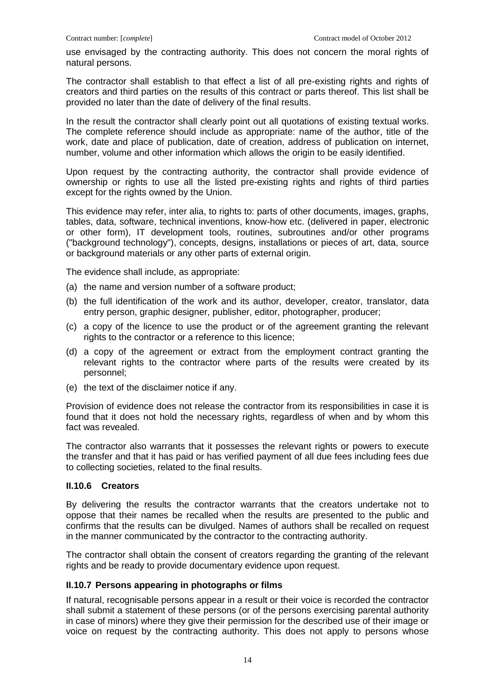use envisaged by the contracting authority. This does not concern the moral rights of natural persons.

The contractor shall establish to that effect a list of all pre-existing rights and rights of creators and third parties on the results of this contract or parts thereof. This list shall be provided no later than the date of delivery of the final results.

In the result the contractor shall clearly point out all quotations of existing textual works. The complete reference should include as appropriate: name of the author, title of the work, date and place of publication, date of creation, address of publication on internet, number, volume and other information which allows the origin to be easily identified.

Upon request by the contracting authority, the contractor shall provide evidence of ownership or rights to use all the listed pre-existing rights and rights of third parties except for the rights owned by the Union.

This evidence may refer, inter alia, to rights to: parts of other documents, images, graphs, tables, data, software, technical inventions, know-how etc. (delivered in paper, electronic or other form), IT development tools, routines, subroutines and/or other programs ("background technology"), concepts, designs, installations or pieces of art, data, source or background materials or any other parts of external origin.

The evidence shall include, as appropriate:

- (a) the name and version number of a software product;
- (b) the full identification of the work and its author, developer, creator, translator, data entry person, graphic designer, publisher, editor, photographer, producer;
- (c) a copy of the licence to use the product or of the agreement granting the relevant rights to the contractor or a reference to this licence;
- (d) a copy of the agreement or extract from the employment contract granting the relevant rights to the contractor where parts of the results were created by its personnel;
- (e) the text of the disclaimer notice if any.

Provision of evidence does not release the contractor from its responsibilities in case it is found that it does not hold the necessary rights, regardless of when and by whom this fact was revealed.

The contractor also warrants that it possesses the relevant rights or powers to execute the transfer and that it has paid or has verified payment of all due fees including fees due to collecting societies, related to the final results.

## **II.10.6 Creators**

By delivering the results the contractor warrants that the creators undertake not to oppose that their names be recalled when the results are presented to the public and confirms that the results can be divulged. Names of authors shall be recalled on request in the manner communicated by the contractor to the contracting authority.

The contractor shall obtain the consent of creators regarding the granting of the relevant rights and be ready to provide documentary evidence upon request.

### **II.10.7 Persons appearing in photographs or films**

If natural, recognisable persons appear in a result or their voice is recorded the contractor shall submit a statement of these persons (or of the persons exercising parental authority in case of minors) where they give their permission for the described use of their image or voice on request by the contracting authority. This does not apply to persons whose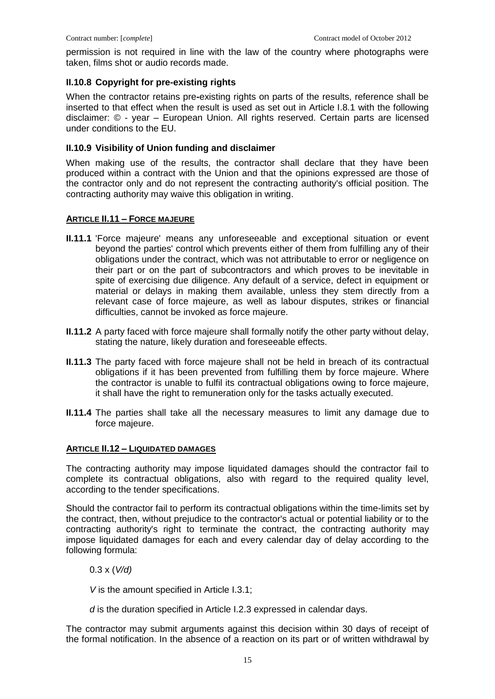permission is not required in line with the law of the country where photographs were taken, films shot or audio records made.

## **II.10.8 Copyright for pre-existing rights**

When the contractor retains pre**-**existing rights on parts of the results, reference shall be inserted to that effect when the result is used as set out in Article I.8.1 with the following disclaimer: © - year – European Union. All rights reserved. Certain parts are licensed under conditions to the EU.

## **II.10.9 Visibility of Union funding and disclaimer**

When making use of the results, the contractor shall declare that they have been produced within a contract with the Union and that the opinions expressed are those of the contractor only and do not represent the contracting authority's official position. The contracting authority may waive this obligation in writing.

## **ARTICLE II.11 – FORCE MAJEURE**

- **II.11.1** 'Force majeure' means any unforeseeable and exceptional situation or event beyond the parties' control which prevents either of them from fulfilling any of their obligations under the contract, which was not attributable to error or negligence on their part or on the part of subcontractors and which proves to be inevitable in spite of exercising due diligence. Any default of a service, defect in equipment or material or delays in making them available, unless they stem directly from a relevant case of force majeure, as well as labour disputes, strikes or financial difficulties, cannot be invoked as force majeure.
- **II.11.2** A party faced with force majeure shall formally notify the other party without delay, stating the nature, likely duration and foreseeable effects.
- **II.11.3** The party faced with force majeure shall not be held in breach of its contractual obligations if it has been prevented from fulfilling them by force majeure. Where the contractor is unable to fulfil its contractual obligations owing to force majeure, it shall have the right to remuneration only for the tasks actually executed.
- **II.11.4** The parties shall take all the necessary measures to limit any damage due to force majeure.

### **ARTICLE II.12 – LIQUIDATED DAMAGES**

The contracting authority may impose liquidated damages should the contractor fail to complete its contractual obligations, also with regard to the required quality level, according to the tender specifications.

Should the contractor fail to perform its contractual obligations within the time-limits set by the contract, then, without prejudice to the contractor's actual or potential liability or to the contracting authority's right to terminate the contract, the contracting authority may impose liquidated damages for each and every calendar day of delay according to the following formula:

### 0.3 x (*V/d)*

*V* is the amount specified in Article I.3.1;

*d* is the duration specified in Article I.2.3 expressed in calendar days.

The contractor may submit arguments against this decision within 30 days of receipt of the formal notification. In the absence of a reaction on its part or of written withdrawal by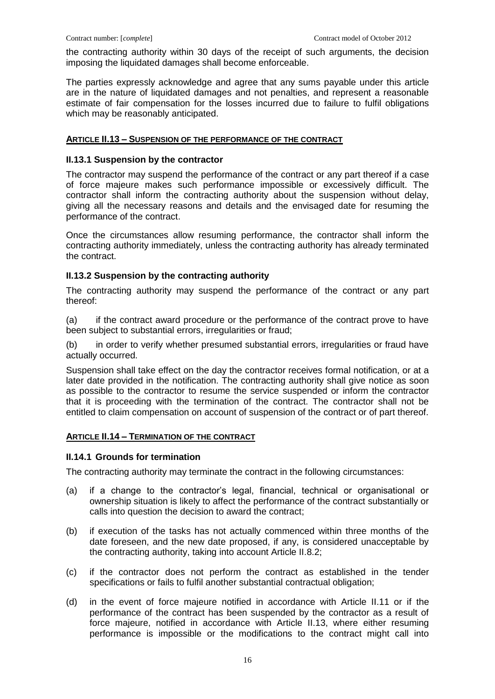the contracting authority within 30 days of the receipt of such arguments, the decision imposing the liquidated damages shall become enforceable.

The parties expressly acknowledge and agree that any sums payable under this article are in the nature of liquidated damages and not penalties, and represent a reasonable estimate of fair compensation for the losses incurred due to failure to fulfil obligations which may be reasonably anticipated.

### **ARTICLE II.13 – SUSPENSION OF THE PERFORMANCE OF THE CONTRACT**

### **II.13.1 Suspension by the contractor**

The contractor may suspend the performance of the contract or any part thereof if a case of force majeure makes such performance impossible or excessively difficult. The contractor shall inform the contracting authority about the suspension without delay, giving all the necessary reasons and details and the envisaged date for resuming the performance of the contract.

Once the circumstances allow resuming performance, the contractor shall inform the contracting authority immediately, unless the contracting authority has already terminated the contract.

## **II.13.2 Suspension by the contracting authority**

The contracting authority may suspend the performance of the contract or any part thereof:

(a) if the contract award procedure or the performance of the contract prove to have been subject to substantial errors, irregularities or fraud;

(b) in order to verify whether presumed substantial errors, irregularities or fraud have actually occurred.

Suspension shall take effect on the day the contractor receives formal notification, or at a later date provided in the notification. The contracting authority shall give notice as soon as possible to the contractor to resume the service suspended or inform the contractor that it is proceeding with the termination of the contract. The contractor shall not be entitled to claim compensation on account of suspension of the contract or of part thereof.

### **ARTICLE II.14 – TERMINATION OF THE CONTRACT**

### **II.14.1 Grounds for termination**

The contracting authority may terminate the contract in the following circumstances:

- (a) if a change to the contractor's legal, financial, technical or organisational or ownership situation is likely to affect the performance of the contract substantially or calls into question the decision to award the contract;
- (b) if execution of the tasks has not actually commenced within three months of the date foreseen, and the new date proposed, if any, is considered unacceptable by the contracting authority, taking into account Article II.8.2;
- (c) if the contractor does not perform the contract as established in the tender specifications or fails to fulfil another substantial contractual obligation;
- (d) in the event of force majeure notified in accordance with Article II.11 or if the performance of the contract has been suspended by the contractor as a result of force majeure, notified in accordance with Article II.13, where either resuming performance is impossible or the modifications to the contract might call into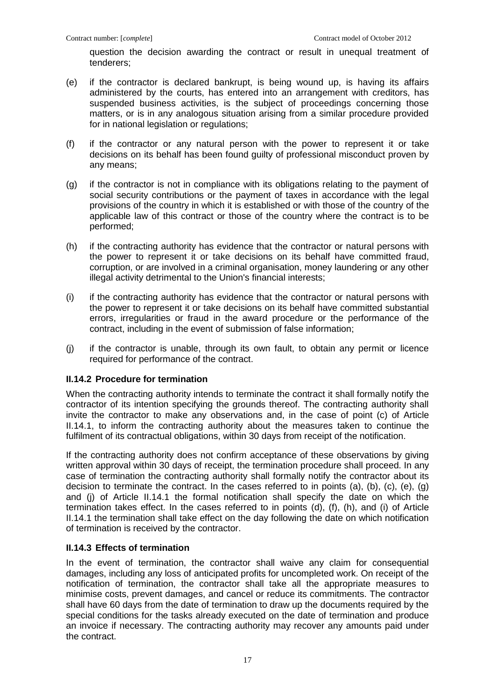question the decision awarding the contract or result in unequal treatment of tenderers;

- (e) if the contractor is declared bankrupt, is being wound up, is having its affairs administered by the courts, has entered into an arrangement with creditors, has suspended business activities, is the subject of proceedings concerning those matters, or is in any analogous situation arising from a similar procedure provided for in national legislation or regulations;
- (f) if the contractor or any natural person with the power to represent it or take decisions on its behalf has been found guilty of professional misconduct proven by any means;
- (g) if the contractor is not in compliance with its obligations relating to the payment of social security contributions or the payment of taxes in accordance with the legal provisions of the country in which it is established or with those of the country of the applicable law of this contract or those of the country where the contract is to be performed;
- (h) if the contracting authority has evidence that the contractor or natural persons with the power to represent it or take decisions on its behalf have committed fraud, corruption, or are involved in a criminal organisation, money laundering or any other illegal activity detrimental to the Union's financial interests;
- (i) if the contracting authority has evidence that the contractor or natural persons with the power to represent it or take decisions on its behalf have committed substantial errors, irregularities or fraud in the award procedure or the performance of the contract, including in the event of submission of false information;
- (j) if the contractor is unable, through its own fault, to obtain any permit or licence required for performance of the contract.

## **II.14.2 Procedure for termination**

When the contracting authority intends to terminate the contract it shall formally notify the contractor of its intention specifying the grounds thereof. The contracting authority shall invite the contractor to make any observations and, in the case of point (c) of Article II.14.1, to inform the contracting authority about the measures taken to continue the fulfilment of its contractual obligations, within 30 days from receipt of the notification.

If the contracting authority does not confirm acceptance of these observations by giving written approval within 30 days of receipt, the termination procedure shall proceed. In any case of termination the contracting authority shall formally notify the contractor about its decision to terminate the contract. In the cases referred to in points (a), (b), (c), (e), (g) and (j) of Article II.14.1 the formal notification shall specify the date on which the termination takes effect. In the cases referred to in points (d), (f), (h), and (i) of Article II.14.1 the termination shall take effect on the day following the date on which notification of termination is received by the contractor.

## **II.14.3 Effects of termination**

In the event of termination, the contractor shall waive any claim for consequential damages, including any loss of anticipated profits for uncompleted work. On receipt of the notification of termination, the contractor shall take all the appropriate measures to minimise costs, prevent damages, and cancel or reduce its commitments. The contractor shall have 60 days from the date of termination to draw up the documents required by the special conditions for the tasks already executed on the date of termination and produce an invoice if necessary. The contracting authority may recover any amounts paid under the contract.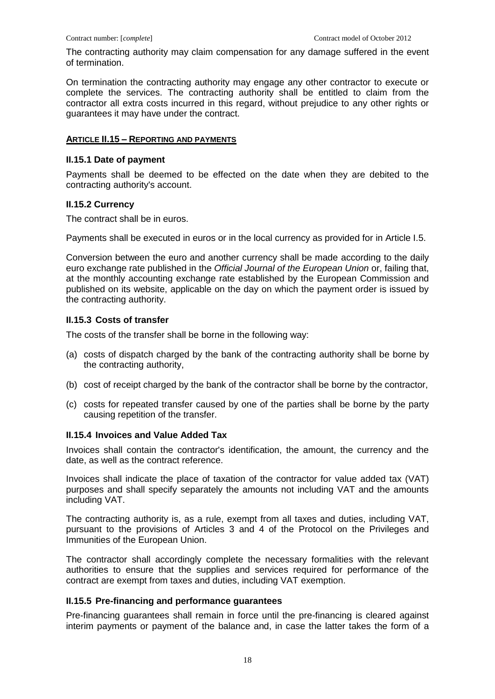The contracting authority may claim compensation for any damage suffered in the event of termination.

On termination the contracting authority may engage any other contractor to execute or complete the services. The contracting authority shall be entitled to claim from the contractor all extra costs incurred in this regard, without prejudice to any other rights or guarantees it may have under the contract.

### **ARTICLE II.15 – REPORTING AND PAYMENTS**

# **II.15.1 Date of payment**

Payments shall be deemed to be effected on the date when they are debited to the contracting authority's account.

## **II.15.2 Currency**

The contract shall be in euros.

Payments shall be executed in euros or in the local currency as provided for in Article I.5.

Conversion between the euro and another currency shall be made according to the daily euro exchange rate published in the *Official Journal of the European Union* or, failing that, at the monthly accounting exchange rate established by the European Commission and published on its website, applicable on the day on which the payment order is issued by the contracting authority.

## **II.15.3 Costs of transfer**

The costs of the transfer shall be borne in the following way:

- (a) costs of dispatch charged by the bank of the contracting authority shall be borne by the contracting authority,
- (b) cost of receipt charged by the bank of the contractor shall be borne by the contractor,
- (c) costs for repeated transfer caused by one of the parties shall be borne by the party causing repetition of the transfer.

### **II.15.4 Invoices and Value Added Tax**

Invoices shall contain the contractor's identification, the amount, the currency and the date, as well as the contract reference.

Invoices shall indicate the place of taxation of the contractor for value added tax (VAT) purposes and shall specify separately the amounts not including VAT and the amounts including VAT.

The contracting authority is, as a rule, exempt from all taxes and duties, including VAT, pursuant to the provisions of Articles 3 and 4 of the Protocol on the Privileges and Immunities of the European Union.

The contractor shall accordingly complete the necessary formalities with the relevant authorities to ensure that the supplies and services required for performance of the contract are exempt from taxes and duties, including VAT exemption.

## **II.15.5 Pre-financing and performance guarantees**

Pre-financing guarantees shall remain in force until the pre-financing is cleared against interim payments or payment of the balance and, in case the latter takes the form of a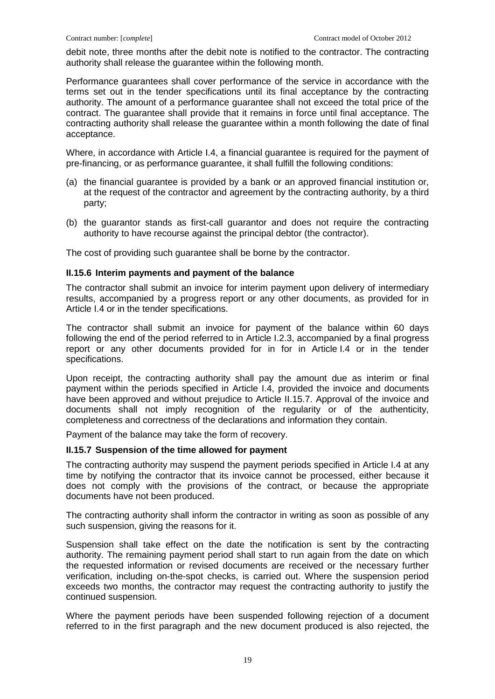debit note, three months after the debit note is notified to the contractor. The contracting authority shall release the guarantee within the following month.

Performance guarantees shall cover performance of the service in accordance with the terms set out in the tender specifications until its final acceptance by the contracting authority. The amount of a performance guarantee shall not exceed the total price of the contract. The guarantee shall provide that it remains in force until final acceptance. The contracting authority shall release the guarantee within a month following the date of final acceptance.

Where, in accordance with Article I.4, a financial guarantee is required for the payment of pre-financing, or as performance guarantee, it shall fulfill the following conditions:

- (a) the financial guarantee is provided by a bank or an approved financial institution or, at the request of the contractor and agreement by the contracting authority, by a third party;
- (b) the guarantor stands as first-call guarantor and does not require the contracting authority to have recourse against the principal debtor (the contractor).

The cost of providing such guarantee shall be borne by the contractor.

## **II.15.6 Interim payments and payment of the balance**

The contractor shall submit an invoice for interim payment upon delivery of intermediary results, accompanied by a progress report or any other documents, as provided for in Article I.4 or in the tender specifications.

The contractor shall submit an invoice for payment of the balance within 60 days following the end of the period referred to in Article I.2.3, accompanied by a final progress report or any other documents provided for in for in Article I.4 or in the tender specifications.

Upon receipt, the contracting authority shall pay the amount due as interim or final payment within the periods specified in Article I.4, provided the invoice and documents have been approved and without prejudice to Article II.15.7. Approval of the invoice and documents shall not imply recognition of the regularity or of the authenticity, completeness and correctness of the declarations and information they contain.

Payment of the balance may take the form of recovery.

### **II.15.7 Suspension of the time allowed for payment**

The contracting authority may suspend the payment periods specified in Article I.4 at any time by notifying the contractor that its invoice cannot be processed, either because it does not comply with the provisions of the contract, or because the appropriate documents have not been produced.

The contracting authority shall inform the contractor in writing as soon as possible of any such suspension, giving the reasons for it.

Suspension shall take effect on the date the notification is sent by the contracting authority. The remaining payment period shall start to run again from the date on which the requested information or revised documents are received or the necessary further verification, including on-the-spot checks, is carried out. Where the suspension period exceeds two months, the contractor may request the contracting authority to justify the continued suspension.

Where the payment periods have been suspended following rejection of a document referred to in the first paragraph and the new document produced is also rejected, the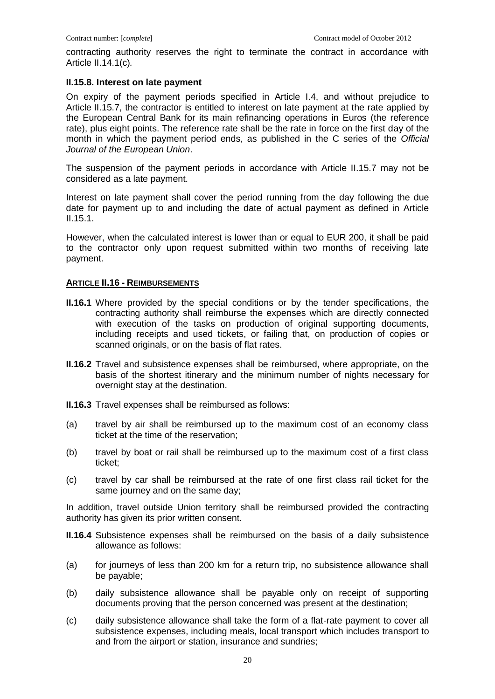contracting authority reserves the right to terminate the contract in accordance with Article II.14.1(c)*.*

## **II.15.8. Interest on late payment**

On expiry of the payment periods specified in Article I.4, and without prejudice to Article II.15.7, the contractor is entitled to interest on late payment at the rate applied by the European Central Bank for its main refinancing operations in Euros (the reference rate), plus eight points. The reference rate shall be the rate in force on the first day of the month in which the payment period ends, as published in the C series of the *Official Journal of the European Union*.

The suspension of the payment periods in accordance with Article II.15.7 may not be considered as a late payment.

Interest on late payment shall cover the period running from the day following the due date for payment up to and including the date of actual payment as defined in Article II.15.1.

However, when the calculated interest is lower than or equal to EUR 200, it shall be paid to the contractor only upon request submitted within two months of receiving late payment.

## **ARTICLE II.16 - REIMBURSEMENTS**

- **II.16.1** Where provided by the special conditions or by the tender specifications, the contracting authority shall reimburse the expenses which are directly connected with execution of the tasks on production of original supporting documents, including receipts and used tickets, or failing that, on production of copies or scanned originals, or on the basis of flat rates.
- **II.16.2** Travel and subsistence expenses shall be reimbursed, where appropriate, on the basis of the shortest itinerary and the minimum number of nights necessary for overnight stay at the destination.
- **II.16.3** Travel expenses shall be reimbursed as follows:
- (a) travel by air shall be reimbursed up to the maximum cost of an economy class ticket at the time of the reservation;
- (b) travel by boat or rail shall be reimbursed up to the maximum cost of a first class ticket;
- (c) travel by car shall be reimbursed at the rate of one first class rail ticket for the same journey and on the same day;

In addition, travel outside Union territory shall be reimbursed provided the contracting authority has given its prior written consent.

- **II.16.4** Subsistence expenses shall be reimbursed on the basis of a daily subsistence allowance as follows:
- (a) for journeys of less than 200 km for a return trip, no subsistence allowance shall be payable;
- (b) daily subsistence allowance shall be payable only on receipt of supporting documents proving that the person concerned was present at the destination;
- (c) daily subsistence allowance shall take the form of a flat-rate payment to cover all subsistence expenses, including meals, local transport which includes transport to and from the airport or station, insurance and sundries;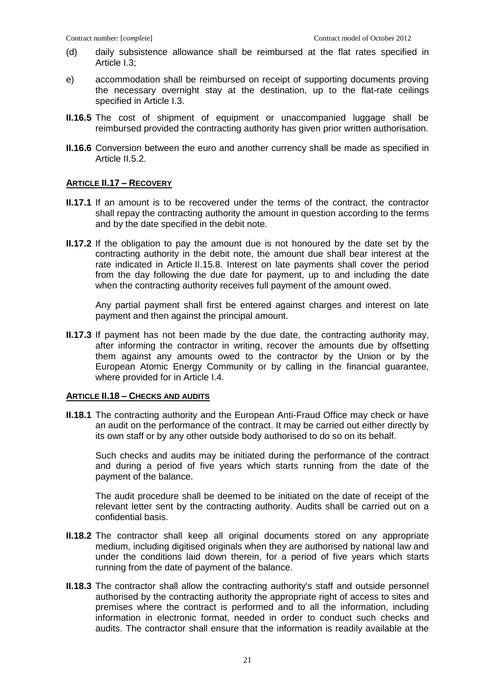- (d) daily subsistence allowance shall be reimbursed at the flat rates specified in Article I.3;
- e) accommodation shall be reimbursed on receipt of supporting documents proving the necessary overnight stay at the destination, up to the flat-rate ceilings specified in Article I.3.
- **II.16.5** The cost of shipment of equipment or unaccompanied luggage shall be reimbursed provided the contracting authority has given prior written authorisation.
- **II.16.6** Conversion between the euro and another currency shall be made as specified in Article II.5.2.

## **ARTICLE II.17 – RECOVERY**

- **II.17.1** If an amount is to be recovered under the terms of the contract, the contractor shall repay the contracting authority the amount in question according to the terms and by the date specified in the debit note.
- **II.17.2** If the obligation to pay the amount due is not honoured by the date set by the contracting authority in the debit note, the amount due shall bear interest at the rate indicated in Article II.15.8. Interest on late payments shall cover the period from the day following the due date for payment, up to and including the date when the contracting authority receives full payment of the amount owed.

Any partial payment shall first be entered against charges and interest on late payment and then against the principal amount.

**II.17.3** If payment has not been made by the due date, the contracting authority may, after informing the contractor in writing, recover the amounts due by offsetting them against any amounts owed to the contractor by the Union or by the European Atomic Energy Community or by calling in the financial guarantee, where provided for in Article I.4.

### **ARTICLE II.18 – CHECKS AND AUDITS**

**II.18.1** The contracting authority and the European Anti-Fraud Office may check or have an audit on the performance of the contract. It may be carried out either directly by its own staff or by any other outside body authorised to do so on its behalf.

Such checks and audits may be initiated during the performance of the contract and during a period of five years which starts running from the date of the payment of the balance.

The audit procedure shall be deemed to be initiated on the date of receipt of the relevant letter sent by the contracting authority. Audits shall be carried out on a confidential basis.

- **II.18.2** The contractor shall keep all original documents stored on any appropriate medium, including digitised originals when they are authorised by national law and under the conditions laid down therein, for a period of five years which starts running from the date of payment of the balance.
- **II.18.3** The contractor shall allow the contracting authority's staff and outside personnel authorised by the contracting authority the appropriate right of access to sites and premises where the contract is performed and to all the information, including information in electronic format, needed in order to conduct such checks and audits. The contractor shall ensure that the information is readily available at the